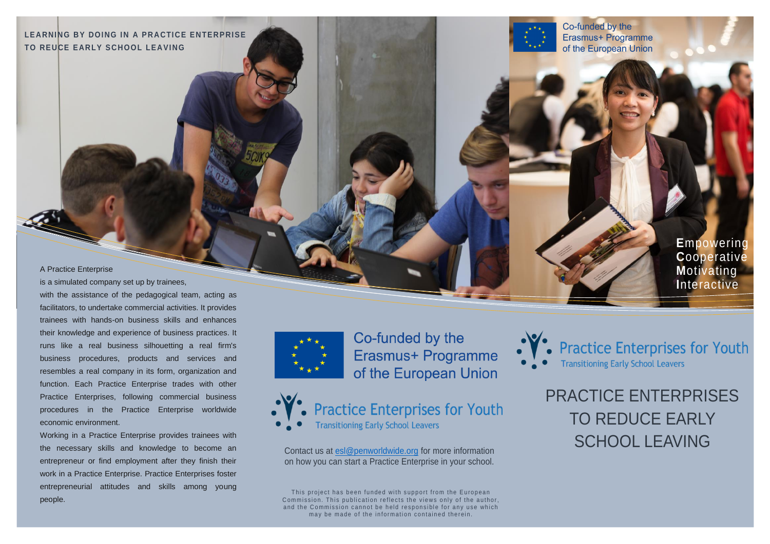LEARNING BY DOING IN A PRACTICE ENTERPRISE **TO REUCE EARLY SCHOOL LEAVING** 

Co-funded by the Erasmus+ Programme of the European Union

#### A Practice Enterprise

is a simulated company set up by trainees, with the assistance of the pedagogical team, acting as facilitators, to undertake commercial activities. It provides trainees with hands-on business skills and enhances their knowledge and experience of business practices. It runs like a real business silhouetting a real firm's business procedures, products and services and resembles a real company in its form, organization and function. Each Practice Enterprise trades with other Practice Enterprises, following commercial business procedures in the Practice Enterprise worldwide economic environment.

Working in a Practice Enterprise provides trainees with the necessary skills and knowledge to become an entrepreneur or find employment after they finish their work in a Practice Enterprise. Practice Enterprises foster entrepreneurial attitudes and skills among young people.



Co-funded by the Erasmus+ Programme of the European Union





on how you can start a Practice Enterprise in your school.

This project has been funded with support from the European Sommission. This publication reflects the views only of the author, and the Commission cannot be held responsible for any use which may be made of the information contained therein.



**E**mpowering

PRACTICE ENTERPRISES TO REDUCE EARLY Contact us at [esl@penworldwide.org](mailto:esl@penworldwide.org) for more information<br>Contact us at esl@penworldwide.org for more information

**Transitioning Early School Leavers** 

**Practice Enterprises for Youth**